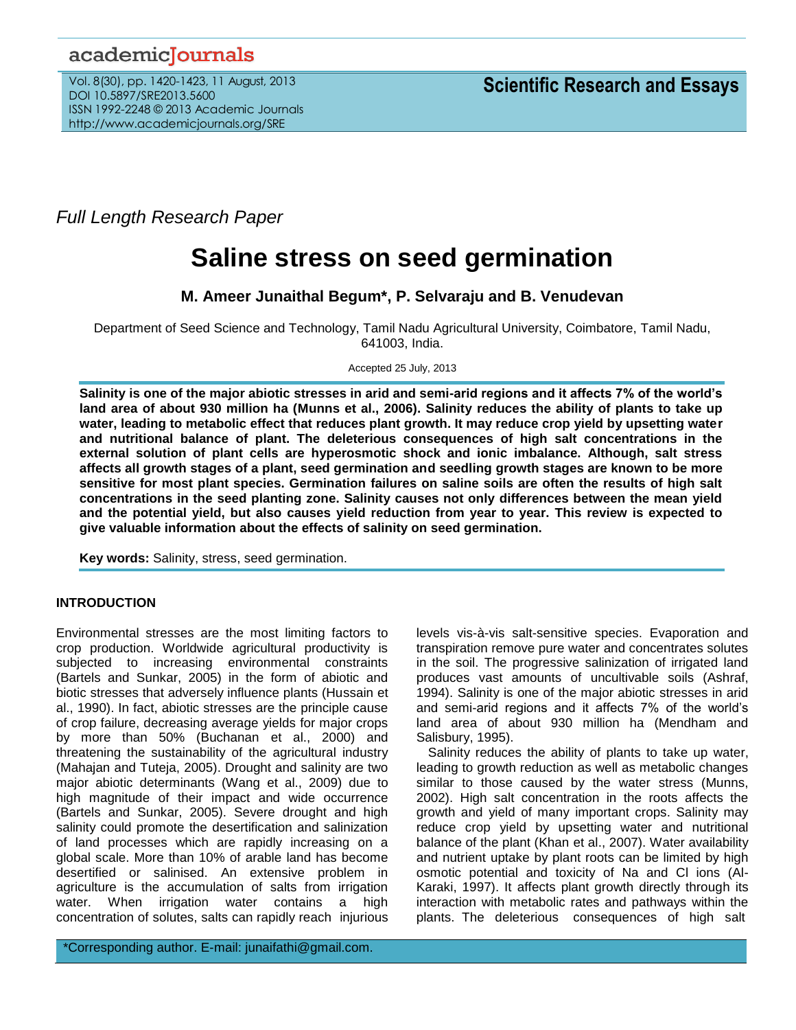## academicJournals

Vol. 8(30), pp. 1420-1423, 11 August, 2013 DOI 10.5897/SRE2013.5600 ISSN 1992-2248 © 2013 Academic Journals http://www.academicjournals.org/SRE

*Full Length Research Paper*

# **Saline stress on seed germination**

### **M. Ameer Junaithal Begum\*, P. Selvaraju and B. Venudevan**

Department of Seed Science and Technology, Tamil Nadu Agricultural University, Coimbatore, Tamil Nadu, 641003, India.

#### Accepted 25 July, 2013

**Salinity is one of the major abiotic stresses in arid and semi-arid regions and it affects 7% of the world's land area of about 930 million ha (Munns et al., 2006). Salinity reduces the ability of plants to take up water, leading to metabolic effect that reduces plant growth. It may reduce crop yield by upsetting water and nutritional balance of plant. The deleterious consequences of high salt concentrations in the external solution of plant cells are hyperosmotic shock and ionic imbalance. Although, salt stress affects all growth stages of a plant, seed germination and seedling growth stages are known to be more sensitive for most plant species. Germination failures on saline soils are often the results of high salt concentrations in the seed planting zone. Salinity causes not only differences between the mean yield and the potential yield, but also causes yield reduction from year to year. This review is expected to give valuable information about the effects of salinity on seed germination.**

**Key words:** Salinity, stress, seed germination.

#### **INTRODUCTION**

Environmental stresses are the most limiting factors to crop production. Worldwide agricultural productivity is subjected to increasing environmental constraints (Bartels and Sunkar, 2005) in the form of abiotic and biotic stresses that adversely influence plants (Hussain et al., 1990). In fact, abiotic stresses are the principle cause of crop failure, decreasing average yields for major crops by more than 50% (Buchanan et al., 2000) and threatening the sustainability of the agricultural industry (Mahajan and Tuteja, 2005). Drought and salinity are two major abiotic determinants (Wang et al., 2009) due to high magnitude of their impact and wide occurrence (Bartels and Sunkar, 2005). Severe drought and high salinity could promote the desertification and salinization of land processes which are rapidly increasing on a global scale. More than 10% of arable land has become desertified or salinised. An extensive problem in agriculture is the accumulation of salts from irrigation water. When irrigation water contains a high concentration of solutes, salts can rapidly reach injurious

\*Corresponding author. E-mail: junaifathi@gmail.com.

levels vis-à-vis salt-sensitive species. Evaporation and transpiration remove pure water and concentrates solutes in the soil. The progressive salinization of irrigated land produces vast amounts of uncultivable soils (Ashraf, 1994). Salinity is one of the major abiotic stresses in arid and semi-arid regions and it affects 7% of the world's land area of about 930 million ha (Mendham and Salisbury, 1995).

Salinity reduces the ability of plants to take up water, leading to growth reduction as well as metabolic changes similar to those caused by the water stress (Munns, 2002). High salt concentration in the roots affects the growth and yield of many important crops. Salinity may reduce crop yield by upsetting water and nutritional balance of the plant (Khan et al., 2007). Water availability and nutrient uptake by plant roots can be limited by high osmotic potential and toxicity of Na and Cl ions (Al-Karaki, 1997). It affects plant growth directly through its interaction with metabolic rates and pathways within the plants. The deleterious consequences of high salt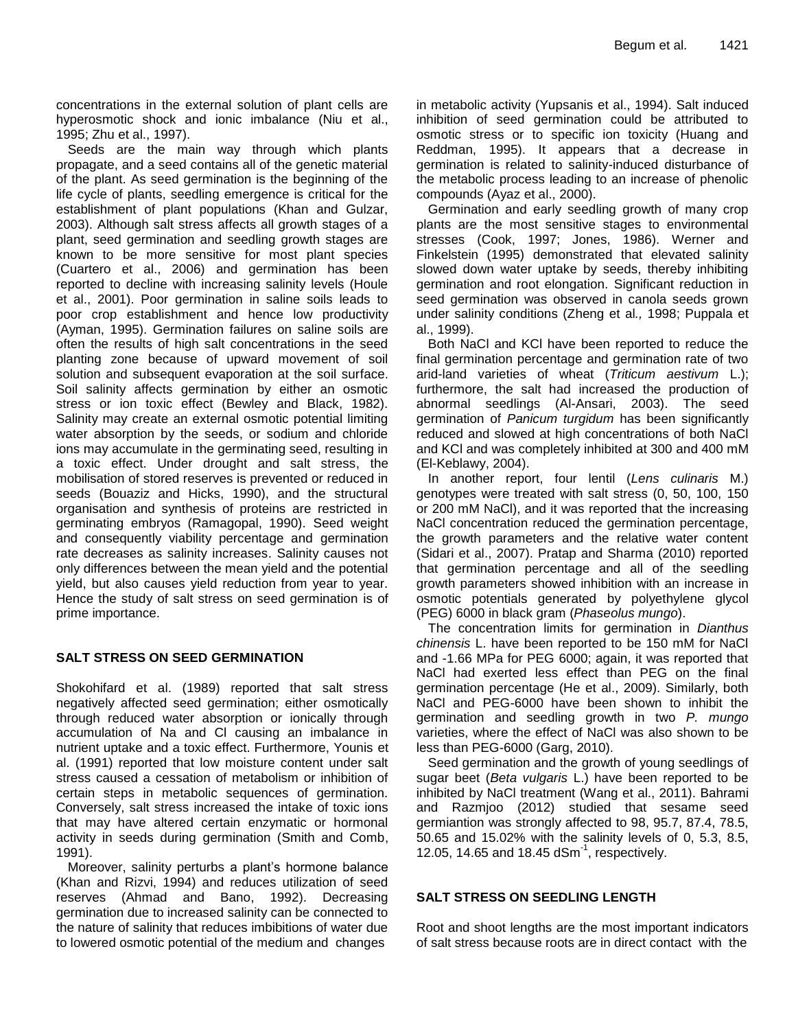concentrations in the external solution of plant cells are hyperosmotic shock and ionic imbalance (Niu et al., 1995; Zhu et al., 1997).

Seeds are the main way through which plants propagate, and a seed contains all of the genetic material of the plant. As seed germination is the beginning of the life cycle of plants, seedling emergence is critical for the establishment of plant populations (Khan and Gulzar, 2003). Although salt stress affects all growth stages of a plant, seed germination and seedling growth stages are known to be more sensitive for most plant species (Cuartero et al., 2006) and germination has been reported to decline with increasing salinity levels (Houle et al., 2001). Poor germination in saline soils leads to poor crop establishment and hence low productivity (Ayman, 1995). Germination failures on saline soils are often the results of high salt concentrations in the seed planting zone because of upward movement of soil solution and subsequent evaporation at the soil surface. Soil salinity affects germination by either an osmotic stress or ion toxic effect (Bewley and Black, 1982). Salinity may create an external osmotic potential limiting water absorption by the seeds, or sodium and chloride ions may accumulate in the germinating seed, resulting in a toxic effect. Under drought and salt stress, the mobilisation of stored reserves is prevented or reduced in seeds (Bouaziz and Hicks, 1990), and the structural organisation and synthesis of proteins are restricted in germinating embryos (Ramagopal, 1990). Seed weight and consequently viability percentage and germination rate decreases as salinity increases. Salinity causes not only differences between the mean yield and the potential yield, but also causes yield reduction from year to year. Hence the study of salt stress on seed germination is of prime importance.

#### **SALT STRESS ON SEED GERMINATION**

Shokohifard et al. (1989) reported that salt stress negatively affected seed germination; either osmotically through reduced water absorption or ionically through accumulation of Na and Cl causing an imbalance in nutrient uptake and a toxic effect. Furthermore, Younis et al. (1991) reported that low moisture content under salt stress caused a cessation of metabolism or inhibition of certain steps in metabolic sequences of germination. Conversely, salt stress increased the intake of toxic ions that may have altered certain enzymatic or hormonal activity in seeds during germination (Smith and Comb, 1991).

Moreover, salinity perturbs a plant's hormone balance (Khan and Rizvi, 1994) and reduces utilization of seed reserves (Ahmad and Bano, 1992). Decreasing germination due to increased salinity can be connected to the nature of salinity that reduces imbibitions of water due to lowered osmotic potential of the medium and changes

in metabolic activity (Yupsanis et al., 1994). Salt induced inhibition of seed germination could be attributed to osmotic stress or to specific ion toxicity (Huang and Reddman, 1995). It appears that a decrease in germination is related to salinity-induced disturbance of the metabolic process leading to an increase of phenolic compounds (Ayaz et al., 2000).

Germination and early seedling growth of many crop plants are the most sensitive stages to environmental stresses (Cook, 1997; Jones, 1986). Werner and Finkelstein (1995) demonstrated that elevated salinity slowed down water uptake by seeds, thereby inhibiting germination and root elongation. Significant reduction in seed germination was observed in canola seeds grown under salinity conditions (Zheng et al*.,* 1998; Puppala et al., 1999).

Both NaCl and KCl have been reported to reduce the final germination percentage and germination rate of two arid-land varieties of wheat (*Triticum aestivum* L.); furthermore, the salt had increased the production of abnormal seedlings (Al-Ansari, 2003). The seed germination of *Panicum turgidum* has been significantly reduced and slowed at high concentrations of both NaCl and KCl and was completely inhibited at 300 and 400 mM (El-Keblawy, 2004).

In another report, four lentil (*Lens culinaris* M.) genotypes were treated with salt stress (0, 50, 100, 150 or 200 mM NaCl), and it was reported that the increasing NaCl concentration reduced the germination percentage, the growth parameters and the relative water content (Sidari et al., 2007). Pratap and Sharma (2010) reported that germination percentage and all of the seedling growth parameters showed inhibition with an increase in osmotic potentials generated by polyethylene glycol (PEG) 6000 in black gram (*Phaseolus mungo*).

The concentration limits for germination in *Dianthus chinensis* L. have been reported to be 150 mM for NaCl and -1.66 MPa for PEG 6000; again, it was reported that NaCl had exerted less effect than PEG on the final germination percentage (He et al., 2009). Similarly, both NaCl and PEG-6000 have been shown to inhibit the germination and seedling growth in two *P. mungo*  varieties, where the effect of NaCl was also shown to be less than PEG-6000 (Garg, 2010).

Seed germination and the growth of young seedlings of sugar beet (*Beta vulgaris* L.) have been reported to be inhibited by NaCl treatment (Wang et al., 2011). Bahrami and Razmjoo (2012) studied that sesame seed germiantion was strongly affected to 98, 95.7, 87.4, 78.5, 50.65 and 15.02% with the salinity levels of 0, 5.3, 8.5, 12.05, 14.65 and 18.45 dSm $^{-1}$ , respectively.

#### **SALT STRESS ON SEEDLING LENGTH**

Root and shoot lengths are the most important indicators of salt stress because roots are in direct contact with the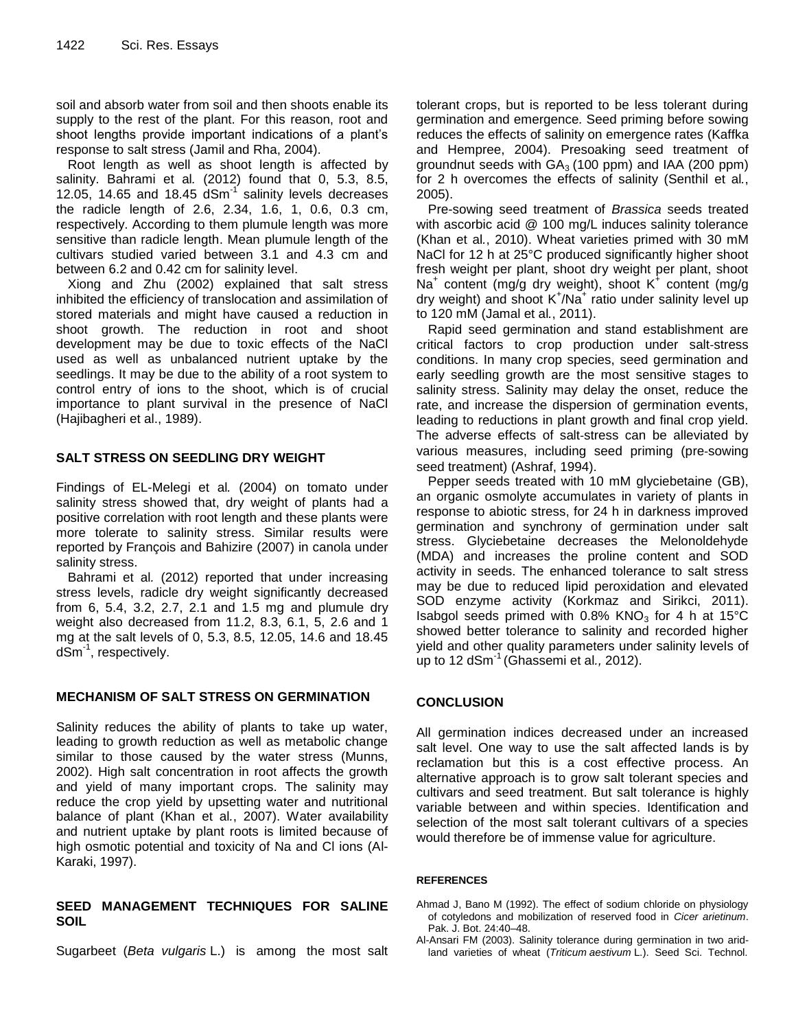soil and absorb water from soil and then shoots enable its supply to the rest of the plant. For this reason, root and shoot lengths provide important indications of a plant's response to salt stress (Jamil and Rha, 2004).

Root length as well as shoot length is affected by salinity. Bahrami et al*.* (2012) found that 0, 5.3, 8.5, 12.05, 14.65 and 18.45  $dSm^{-1}$  salinity levels decreases the radicle length of 2.6, 2.34, 1.6, 1, 0.6, 0.3 cm, respectively. According to them plumule length was more sensitive than radicle length. Mean plumule length of the cultivars studied varied between 3.1 and 4.3 cm and between 6.2 and 0.42 cm for salinity level.

Xiong and Zhu (2002) explained that salt stress inhibited the efficiency of translocation and assimilation of stored materials and might have caused a reduction in shoot growth. The reduction in root and shoot development may be due to toxic effects of the NaCl used as well as unbalanced nutrient uptake by the seedlings. It may be due to the ability of a root system to control entry of ions to the shoot, which is of crucial importance to plant survival in the presence of NaCl (Hajibagheri et al., 1989).

#### **SALT STRESS ON SEEDLING DRY WEIGHT**

Findings of EL-Melegi et al*.* (2004) on tomato under salinity stress showed that, dry weight of plants had a positive correlation with root length and these plants were more tolerate to salinity stress. Similar results were reported by François and Bahizire (2007) in canola under salinity stress.

Bahrami et al*.* (2012) reported that under increasing stress levels, radicle dry weight significantly decreased from 6, 5.4, 3.2, 2.7, 2.1 and 1.5 mg and plumule dry weight also decreased from 11.2, 8.3, 6.1, 5, 2.6 and 1 mg at the salt levels of 0, 5.3, 8.5, 12.05, 14.6 and 18.45 dSm-1 , respectively.

#### **MECHANISM OF SALT STRESS ON GERMINATION**

Salinity reduces the ability of plants to take up water, leading to growth reduction as well as metabolic change similar to those caused by the water stress (Munns, 2002). High salt concentration in root affects the growth and yield of many important crops. The salinity may reduce the crop yield by upsetting water and nutritional balance of plant (Khan et al*.*, 2007). Water availability and nutrient uptake by plant roots is limited because of high osmotic potential and toxicity of Na and Cl ions (Al-Karaki, 1997).

#### **SEED MANAGEMENT TECHNIQUES FOR SALINE SOIL**

Sugarbeet (*Beta vulgaris* L.) is among the most salt

tolerant crops, but is reported to be less tolerant during germination and emergence*.* Seed priming before sowing reduces the effects of salinity on emergence rates (Kaffka and Hempree, 2004). Presoaking seed treatment of groundnut seeds with  $GA<sub>3</sub>$  (100 ppm) and IAA (200 ppm) for 2 h overcomes the effects of salinity (Senthil et al*.*, 2005).

Pre-sowing seed treatment of *Brassica* seeds treated with ascorbic acid @ 100 mg/L induces salinity tolerance (Khan et al*.*, 2010). Wheat varieties primed with 30 mM NaCl for 12 h at 25°C produced significantly higher shoot fresh weight per plant, shoot dry weight per plant, shoot Na<sup>+</sup> content (mg/g dry weight), shoot K<sup>+</sup> content (mg/g dry weight) and shoot K<sup>+</sup>/Na<sup>+</sup> ratio under salinity level up to 120 mM (Jamal et al*.*, 2011).

Rapid seed germination and stand establishment are critical factors to crop production under salt‐stress conditions. In many crop species, seed germination and early seedling growth are the most sensitive stages to salinity stress. Salinity may delay the onset, reduce the rate, and increase the dispersion of germination events, leading to reductions in plant growth and final crop yield. The adverse effects of salt‐stress can be alleviated by various measures, including seed priming (pre‐sowing seed treatment) (Ashraf, 1994).

Pepper seeds treated with 10 mM glyciebetaine (GB), an organic osmolyte accumulates in variety of plants in response to abiotic stress, for 24 h in darkness improved germination and synchrony of germination under salt stress. Glyciebetaine decreases the Melonoldehyde (MDA) and increases the proline content and SOD activity in seeds. The enhanced tolerance to salt stress may be due to reduced lipid peroxidation and elevated SOD enzyme activity (Korkmaz and Sirikci, 2011). Isabgol seeds primed with  $0.8\%$  KNO<sub>3</sub> for 4 h at 15<sup>o</sup>C showed better tolerance to salinity and recorded higher yield and other quality parameters under salinity levels of up to 12 dSm-1 (Ghassemi et al*.,* 2012).

#### **CONCLUSION**

All germination indices decreased under an increased salt level. One way to use the salt affected lands is by reclamation but this is a cost effective process. An alternative approach is to grow salt tolerant species and cultivars and seed treatment. But salt tolerance is highly variable between and within species. Identification and selection of the most salt tolerant cultivars of a species would therefore be of immense value for agriculture.

#### **REFERENCES**

- Ahmad J, Bano M (1992). The effect of sodium chloride on physiology of cotyledons and mobilization of reserved food in *Cicer arietinum*. Pak. J. Bot. 24:40–48.
- Al-Ansari FM (2003). Salinity tolerance during germination in two aridland varieties of wheat (*Triticum aestivum* L.). Seed Sci. Technol.